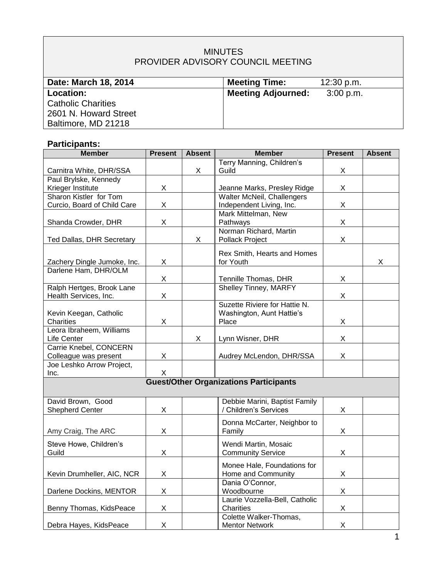# MINUTES PROVIDER ADVISORY COUNCIL MEETING

| Date: March 18, 2014      | <b>Meeting Time:</b>      | 12:30 p.m. |
|---------------------------|---------------------------|------------|
| Location:                 | <b>Meeting Adjourned:</b> | 3:00 p.m.  |
| <b>Catholic Charities</b> |                           |            |
| 2601 N. Howard Street     |                           |            |
| Baltimore, MD 21218       |                           |            |

# **Participants:**

| <b>Member</b>                                 | <b>Present</b> | <b>Absent</b> | <b>Member</b>                     | <b>Present</b> | <b>Absent</b> |  |
|-----------------------------------------------|----------------|---------------|-----------------------------------|----------------|---------------|--|
|                                               |                |               | Terry Manning, Children's         |                |               |  |
| Carnitra White, DHR/SSA                       |                | X             | Guild                             | X              |               |  |
| Paul Brylske, Kennedy                         |                |               |                                   |                |               |  |
| Krieger Institute                             | X              |               | Jeanne Marks, Presley Ridge       | X              |               |  |
| Sharon Kistler for Tom                        |                |               | <b>Walter McNeil, Challengers</b> |                |               |  |
| Curcio, Board of Child Care                   | X              |               | Independent Living, Inc.          | X              |               |  |
|                                               |                |               | Mark Mittelman, New               |                |               |  |
| Shanda Crowder, DHR                           | X              |               | Pathways                          | X              |               |  |
|                                               |                |               | Norman Richard, Martin            |                |               |  |
| Ted Dallas, DHR Secretary                     |                | X             | Pollack Project                   | X              |               |  |
|                                               |                |               | Rex Smith, Hearts and Homes       |                |               |  |
| Zachery Dingle Jumoke, Inc.                   | X              |               | for Youth                         |                | X             |  |
| Darlene Ham, DHR/OLM                          |                |               |                                   |                |               |  |
|                                               | X              |               | Tennille Thomas, DHR              | X              |               |  |
| Ralph Hertges, Brook Lane                     |                |               | <b>Shelley Tinney, MARFY</b>      |                |               |  |
| Health Services, Inc.                         | X              |               |                                   | X              |               |  |
|                                               |                |               | Suzette Riviere for Hattie N.     |                |               |  |
| Kevin Keegan, Catholic                        |                |               | Washington, Aunt Hattie's         |                |               |  |
| Charities                                     | X              |               | Place                             | X              |               |  |
| Leora Ibraheem, Williams                      |                |               |                                   |                |               |  |
| Life Center                                   |                | X             | Lynn Wisner, DHR                  | X              |               |  |
| Carrie Knebel, CONCERN                        |                |               |                                   |                |               |  |
| Colleague was present                         | X              |               | Audrey McLendon, DHR/SSA          | X              |               |  |
| Joe Leshko Arrow Project,                     |                |               |                                   |                |               |  |
| Inc.                                          | X              |               |                                   |                |               |  |
| <b>Guest/Other Organizations Participants</b> |                |               |                                   |                |               |  |
|                                               |                |               |                                   |                |               |  |
| David Brown, Good                             |                |               | Debbie Marini, Baptist Family     |                |               |  |
| <b>Shepherd Center</b>                        | X              |               | / Children's Services             | X.             |               |  |
|                                               |                |               | Donna McCarter, Neighbor to       |                |               |  |
| Amy Craig, The ARC                            | Χ              |               | Family                            | X              |               |  |
|                                               |                |               |                                   |                |               |  |
| Steve Howe, Children's                        |                |               | Wendi Martin, Mosaic              |                |               |  |
| Guild                                         | X              |               | <b>Community Service</b>          | X              |               |  |
|                                               |                |               | Monee Hale, Foundations for       |                |               |  |
| Kevin Drumheller, AIC, NCR                    | X              |               | Home and Community                | X.             |               |  |
|                                               |                |               | Dania O'Connor,                   |                |               |  |
| Darlene Dockins, MENTOR                       | X              |               | Woodbourne                        | X.             |               |  |
|                                               |                |               | Laurie Vozzella-Bell, Catholic    |                |               |  |
| Benny Thomas, KidsPeace                       | X              |               | Charities                         | X              |               |  |
|                                               |                |               | Colette Walker-Thomas,            |                |               |  |
| Debra Hayes, KidsPeace                        | X              |               | <b>Mentor Network</b>             | X              |               |  |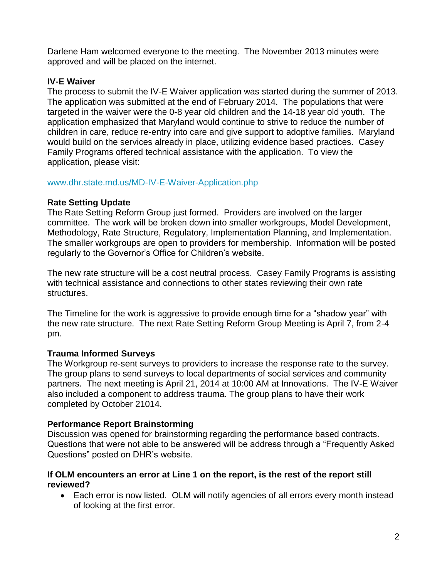Darlene Ham welcomed everyone to the meeting. The November 2013 minutes were approved and will be placed on the internet.

## **IV-E Waiver**

The process to submit the IV-E Waiver application was started during the summer of 2013. The application was submitted at the end of February 2014. The populations that were targeted in the waiver were the 0-8 year old children and the 14-18 year old youth. The application emphasized that Maryland would continue to strive to reduce the number of children in care, reduce re-entry into care and give support to adoptive families. Maryland would build on the services already in place, utilizing evidence based practices. Casey Family Programs offered technical assistance with the application. To view the application, please visit:

### [www.dhr.state.md.us/MD-IV-E-Waiver-Application.php](http://www.dhr.state.md.us/MD-IV-E-Waiver-Application.php)

### **Rate Setting Update**

The Rate Setting Reform Group just formed. Providers are involved on the larger committee. The work will be broken down into smaller workgroups, Model Development, Methodology, Rate Structure, Regulatory, Implementation Planning, and Implementation. The smaller workgroups are open to providers for membership. Information will be posted regularly to the Governor's Office for Children's website.

The new rate structure will be a cost neutral process. Casey Family Programs is assisting with technical assistance and connections to other states reviewing their own rate structures.

The Timeline for the work is aggressive to provide enough time for a "shadow year" with the new rate structure. The next Rate Setting Reform Group Meeting is April 7, from 2-4 pm.

# **Trauma Informed Surveys**

The Workgroup re-sent surveys to providers to increase the response rate to the survey. The group plans to send surveys to local departments of social services and community partners. The next meeting is April 21, 2014 at 10:00 AM at Innovations. The IV-E Waiver also included a component to address trauma. The group plans to have their work completed by October 21014.

# **Performance Report Brainstorming**

Discussion was opened for brainstorming regarding the performance based contracts. Questions that were not able to be answered will be address through a "Frequently Asked Questions" posted on DHR's website.

### **If OLM encounters an error at Line 1 on the report, is the rest of the report still reviewed?**

• Each error is now listed. OLM will notify agencies of all errors every month instead of looking at the first error.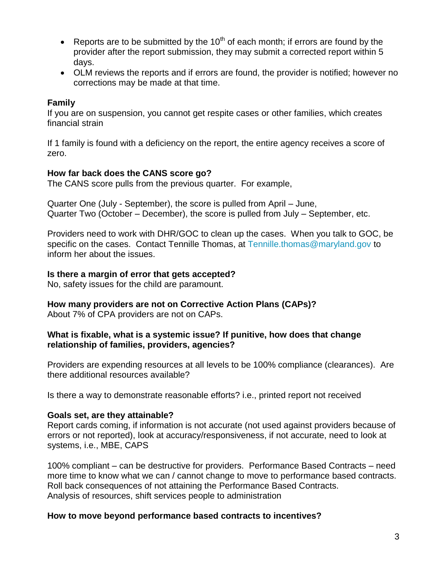- **•** Reports are to be submitted by the 10<sup>th</sup> of each month; if errors are found by the provider after the report submission, they may submit a corrected report within 5 days.
- OLM reviews the reports and if errors are found, the provider is notified; however no corrections may be made at that time.

## **Family**

If you are on suspension, you cannot get respite cases or other families, which creates financial strain

If 1 family is found with a deficiency on the report, the entire agency receives a score of zero.

### **How far back does the CANS score go?**

The CANS score pulls from the previous quarter. For example,

Quarter One (July - September), the score is pulled from April – June, Quarter Two (October – December), the score is pulled from July – September, etc.

Providers need to work with DHR/GOC to clean up the cases. When you talk to GOC, be specific on the cases. Contact Tennille Thomas, at [Tennille.thomas@maryland.gov](mailto:Tennille.thomas@maryland.gov) to inform her about the issues.

### **Is there a margin of error that gets accepted?**

No, safety issues for the child are paramount.

# **How many providers are not on Corrective Action Plans (CAPs)?**

About 7% of CPA providers are not on CAPs.

#### **What is fixable, what is a systemic issue? If punitive, how does that change relationship of families, providers, agencies?**

Providers are expending resources at all levels to be 100% compliance (clearances). Are there additional resources available?

Is there a way to demonstrate reasonable efforts? i.e., printed report not received

### **Goals set, are they attainable?**

Report cards coming, if information is not accurate (not used against providers because of errors or not reported), look at accuracy/responsiveness, if not accurate, need to look at systems, i.e., MBE, CAPS

100% compliant – can be destructive for providers. Performance Based Contracts – need more time to know what we can / cannot change to move to performance based contracts. Roll back consequences of not attaining the Performance Based Contracts. Analysis of resources, shift services people to administration

### **How to move beyond performance based contracts to incentives?**